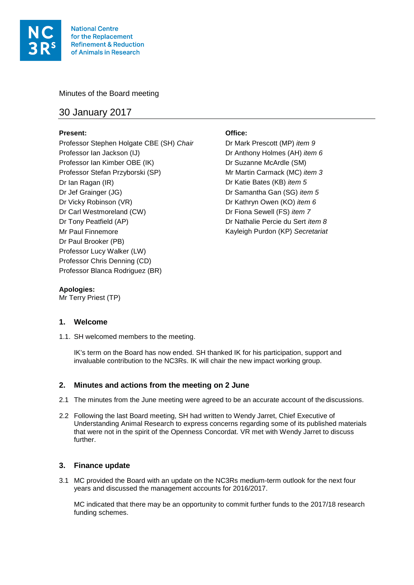

Minutes of the Board meeting

# 30 January 2017

## **Present: Office:**

Professor Stephen Holgate CBE (SH) *Chair* Dr Mark Prescott (MP) *item 9* Professor Ian Jackson (IJ) Dr Anthony Holmes (AH) *item 6* Professor Ian Kimber OBE (IK) Dr Suzanne McArdle (SM) Professor Stefan Przyborski (SP) Mr Martin Carmack (MC) *item 3* Dr Ian Ragan (IR) Dr Katie Bates (KB) *item 5* Dr Jef Grainger (JG) Dr Samantha Gan (SG) *item 5* Dr Vicky Robinson (VR) Dr Kathryn Owen (KO) *item 6* Dr Carl Westmoreland (CW) Dr Fiona Sewell (FS) *item 7* Dr Tony Peatfield (AP) Dr Nathalie Percie du Sert *item 8* Mr Paul Finnemore Kayleigh Purdon (KP) *Secretariat* Dr Paul Brooker (PB) Professor Lucy Walker (LW) Professor Chris Denning (CD) Professor Blanca Rodriguez (BR)

## **Apologies:**

Mr Terry Priest (TP)

## **1. Welcome**

1.1. SH welcomed members to the meeting.

IK's term on the Board has now ended. SH thanked IK for his participation, support and invaluable contribution to the NC3Rs. IK will chair the new impact working group.

## **2. Minutes and actions from the meeting on 2 June**

- 2.1 The minutes from the June meeting were agreed to be an accurate account of the discussions.
- 2.2 Following the last Board meeting, SH had written to Wendy Jarret, Chief Executive of Understanding Animal Research to express concerns regarding some of its published materials that were not in the spirit of the Openness Concordat. VR met with Wendy Jarret to discuss further.

## **3. Finance update**

3.1 MC provided the Board with an update on the NC3Rs medium-term outlook for the next four years and discussed the management accounts for 2016/2017.

MC indicated that there may be an opportunity to commit further funds to the 2017/18 research funding schemes.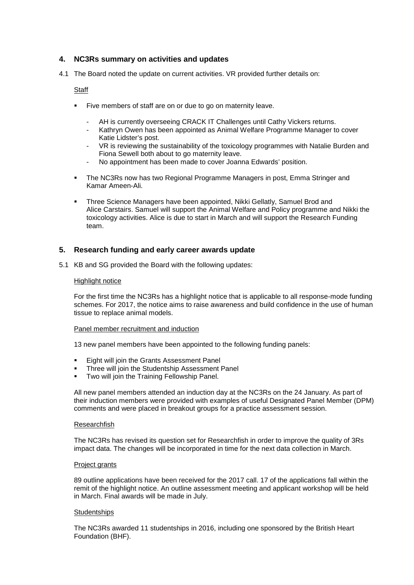## **4. NC3Rs summary on activities and updates**

4.1 The Board noted the update on current activities. VR provided further details on:

## **Staff**

- Five members of staff are on or due to go on maternity leave.
	- AH is currently overseeing CRACK IT Challenges until Cathy Vickers returns.
	- Kathryn Owen has been appointed as Animal Welfare Programme Manager to cover Katie Lidster's post.
	- VR is reviewing the sustainability of the toxicology programmes with Natalie Burden and Fiona Sewell both about to go maternity leave.
	- No appointment has been made to cover Joanna Edwards' position.
- The NC3Rs now has two Regional Programme Managers in post, Emma Stringer and Kamar Ameen-Ali.
- Three Science Managers have been appointed, Nikki Gellatly, Samuel Brod and Alice Carstairs. Samuel will support the Animal Welfare and Policy programme and Nikki the toxicology activities. Alice is due to start in March and will support the Research Funding team.

## **5. Research funding and early career awards update**

5.1 KB and SG provided the Board with the following updates:

#### Highlight notice

For the first time the NC3Rs has a highlight notice that is applicable to all response-mode funding schemes. For 2017, the notice aims to raise awareness and build confidence in the use of human tissue to replace animal models.

#### Panel member recruitment and induction

13 new panel members have been appointed to the following funding panels:

- Eight will join the Grants Assessment Panel
- Three will join the Studentship Assessment Panel
- **Two will join the Training Fellowship Panel.**

All new panel members attended an induction day at the NC3Rs on the 24 January. As part of their induction members were provided with examples of useful Designated Panel Member (DPM) comments and were placed in breakout groups for a practice assessment session.

#### Researchfish

The NC3Rs has revised its question set for Researchfish in order to improve the quality of 3Rs impact data. The changes will be incorporated in time for the next data collection in March.

#### Project grants

89 outline applications have been received for the 2017 call. 17 of the applications fall within the remit of the highlight notice. An outline assessment meeting and applicant workshop will be held in March. Final awards will be made in July.

#### **Studentships**

The NC3Rs awarded 11 studentships in 2016, including one sponsored by the British Heart Foundation (BHF).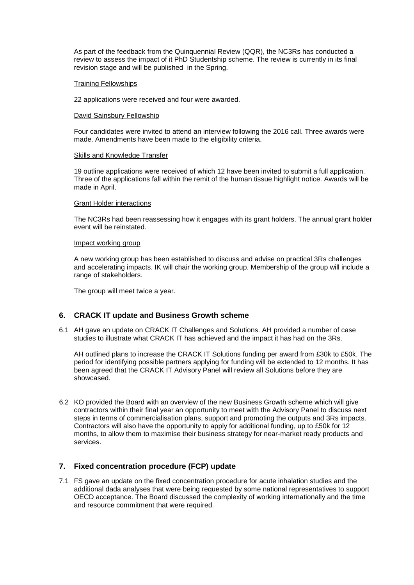As part of the feedback from the Quinquennial Review (QQR), the NC3Rs has conducted a review to assess the impact of it PhD Studentship scheme. The review is currently in its final revision stage and will be published in the Spring.

#### Training Fellowships

22 applications were received and four were awarded.

#### David Sainsbury Fellowship

Four candidates were invited to attend an interview following the 2016 call. Three awards were made. Amendments have been made to the eligibility criteria.

#### Skills and Knowledge Transfer

19 outline applications were received of which 12 have been invited to submit a full application. Three of the applications fall within the remit of the human tissue highlight notice. Awards will be made in April.

#### Grant Holder interactions

The NC3Rs had been reassessing how it engages with its grant holders. The annual grant holder event will be reinstated.

#### Impact working group

A new working group has been established to discuss and advise on practical 3Rs challenges and accelerating impacts. IK will chair the working group. Membership of the group will include a range of stakeholders.

The group will meet twice a year.

### **6. CRACK IT update and Business Growth scheme**

6.1 AH gave an update on CRACK IT Challenges and Solutions. AH provided a number of case studies to illustrate what CRACK IT has achieved and the impact it has had on the 3Rs.

AH outlined plans to increase the CRACK IT Solutions funding per award from £30k to £50k. The period for identifying possible partners applying for funding will be extended to 12 months. It has been agreed that the CRACK IT Advisory Panel will review all Solutions before they are showcased.

6.2 KO provided the Board with an overview of the new Business Growth scheme which will give contractors within their final year an opportunity to meet with the Advisory Panel to discuss next steps in terms of commercialisation plans, support and promoting the outputs and 3Rs impacts. Contractors will also have the opportunity to apply for additional funding, up to £50k for 12 months, to allow them to maximise their business strategy for near-market ready products and services.

## **7. Fixed concentration procedure (FCP) update**

7.1 FS gave an update on the fixed concentration procedure for acute inhalation studies and the additional dada analyses that were being requested by some national representatives to support OECD acceptance. The Board discussed the complexity of working internationally and the time and resource commitment that were required.